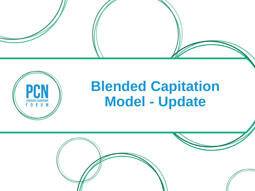



# **Blended Capitation Model - Update**

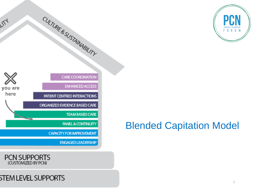

### Blended Capitation Model





公

### **STEM LEVEL SUPPORTS**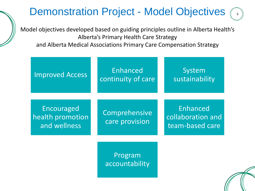### Demonstration Project - Model Objectives  $\widehat{S}$

Model objectives developed based on guiding principles outline in Alberta Health's Alberta's Primary Health Care Strategy

and Alberta Medical Associations Primary Care Compensation Strategy

| <b>Improved Access</b>                         | Enhanced<br>continuity of care  | System<br>sustainability                         |
|------------------------------------------------|---------------------------------|--------------------------------------------------|
| Encouraged<br>health promotion<br>and wellness | Comprehensive<br>care provision | Enhanced<br>collaboration and<br>team-based care |
|                                                | Program<br>accountability       |                                                  |

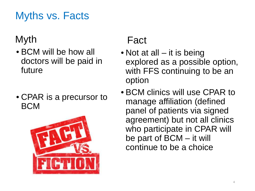### Myths vs. Facts

### Myth

- BCM will be how all doctors will be paid in future
- CPAR is a precursor to BCM



### Fact

- Not at all it is being explored as a possible option, with FFS continuing to be an option
- BCM clinics will use CPAR to manage affiliation (defined panel of patients via signed agreement) but not all clinics who participate in CPAR will be part of BCM – it will continue to be a choice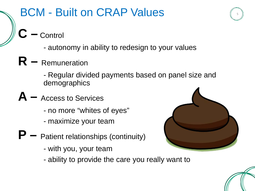### BCM - Built on CRAP Values

- **C –** Control
	- autonomy in ability to redesign to your values
- **R –** Remuneration

- Regular divided payments based on panel size and demographics

- **A –** Access to Services
	- no more "whites of eyes"
	- maximize your team
- **P –** Patient relationships (continuity)
	- with you, your team
	- ability to provide the care you really want to



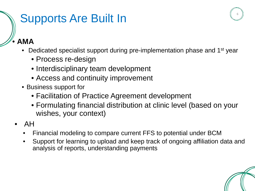# Supports Are Built In

• **AMA**

- Dedicated specialist support during pre-implementation phase and 1<sup>st</sup> year
	- Process re-design
	- Interdisciplinary team development
	- Access and continuity improvement
- Business support for
	- Facilitation of Practice Agreement development
	- Formulating financial distribution at clinic level (based on your wishes, your context)
- AH
	- Financial modeling to compare current FFS to potential under BCM
	- Support for learning to upload and keep track of ongoing affiliation data and analysis of reports, understanding payments

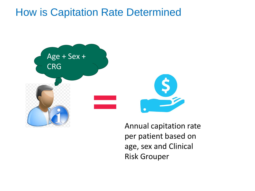### How is Capitation Rate Determined



Annual capitation rate per patient based on age, sex and Clinical Risk Grouper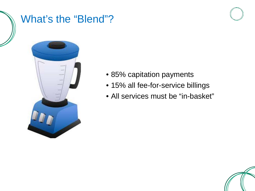### What's the "Blend"?



- 85% capitation payments
- 15% all fee-for-service billings
- All services must be "in-basket"

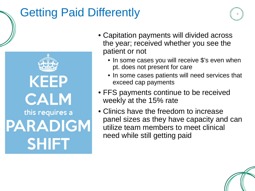# Getting Paid Differently

**KEEP CALM** this requires a **PARADIGM SHIFT** 

- Capitation payments will divided across the year; received whether you see the patient or not
	- In some cases you will receive \$'s even when pt. does not present for care
	- In some cases patients will need services that exceed cap payments
- FFS payments continue to be received weekly at the 15% rate
- Clinics have the freedom to increase panel sizes as they have capacity and can utilize team members to meet clinical need while still getting paid

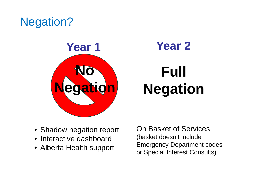# Negation?



# **Full Negation**

- Shadow negation report
- Interactive dashboard
- Alberta Health support

On Basket of Services (basket doesn't include Emergency Department codes or Special Interest Consults)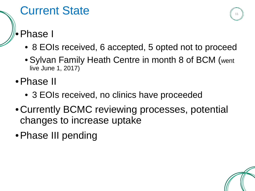### Current State

### •Phase I

- 8 EOIs received, 6 accepted, 5 opted not to proceed
- Sylvan Family Heath Centre in month 8 of BCM (went live June 1, 2017)
- •Phase II
	- 3 EOIs received, no clinics have proceeded
- •Currently BCMC reviewing processes, potential changes to increase uptake
- •Phase III pending

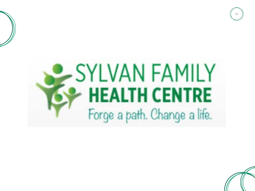



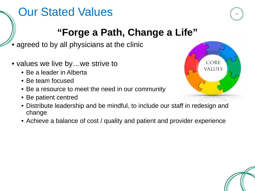# Our Stated Values

### **"Forge a Path, Change a Life"**

- agreed to by all physicians at the clinic
- values we live by...we strive to
	- Be a leader in Alberta
	- Be team focused
	- Be a resource to meet the need in our community
	- Be patient centred
	- Distribute leadership and be mindful, to include our staff in redesign and change
	- Achieve a balance of cost / quality and patient and provider experience



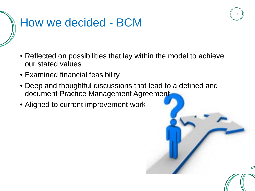# How we decided - BCM

- Reflected on possibilities that lay within the model to achieve our stated values
- Examined financial feasibility
- Deep and thoughtful discussions that lead to a defined and document Practice Management Agreement
- Aligned to current improvement work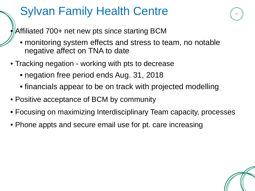# Sylvan Family Health Centre

Affiliated 700+ net new pts since starting BCM

• monitoring system effects and stress to team, no notable negative affect on TNA to date

- Tracking negation working with pts to decrease
	- negation free period ends Aug. 31, 2018
	- financials appear to be on track with projected modelling
- Positive acceptance of BCM by community
- Focusing on maximizing Interdisciplinary Team capacity, processes
- Phone appts and secure email use for pt. care increasing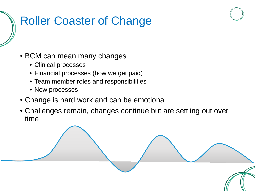# Roller Coaster of Change

- BCM can mean many changes
	- Clinical processes
	- Financial processes (how we get paid)
	- Team member roles and responsibilities
	- New processes
- Change is hard work and can be emotional
- Challenges remain, changes continue but are settling out over time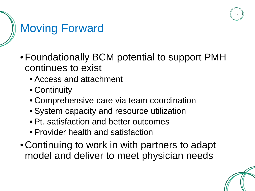

# Moving Forward

- •Foundationally BCM potential to support PMH continues to exist
	- Access and attachment
	- Continuity
	- Comprehensive care via team coordination
	- System capacity and resource utilization
	- Pt. satisfaction and better outcomes
	- Provider health and satisfaction
- •Continuing to work in with partners to adapt model and deliver to meet physician needs